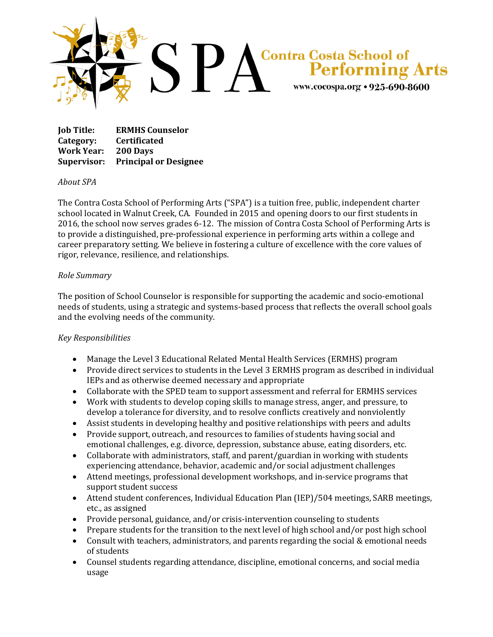

**Job Title: ERMHS Counselor Category: Certificated Work Year: 200 Days Supervisor: Principal or Designee**

## *About SPA*

The Contra Costa School of Performing Arts ("SPA") is a tuition free, public, independent charter school located in Walnut Creek, CA. Founded in 2015 and opening doors to our first students in 2016, the school now serves grades 6-12. The mission of Contra Costa School of Performing Arts is to provide a distinguished, pre-professional experience in performing arts within a college and career preparatory setting. We believe in fostering a culture of excellence with the core values of rigor, relevance, resilience, and relationships.

## *Role Summary*

The position of School Counselor is responsible for supporting the academic and socio-emotional needs of students, using a strategic and systems-based process that reflects the overall school goals and the evolving needs of the community.

## *Key Responsibilities*

- Manage the Level 3 Educational Related Mental Health Services (ERMHS) program
- Provide direct services to students in the Level 3 ERMHS program as described in individual IEPs and as otherwise deemed necessary and appropriate
- Collaborate with the SPED team to support assessment and referral for ERMHS services
- Work with students to develop coping skills to manage stress, anger, and pressure, to develop a tolerance for diversity, and to resolve conflicts creatively and nonviolently
- Assist students in developing healthy and positive relationships with peers and adults
- Provide support, outreach, and resources to families of students having social and emotional challenges, e.g. divorce, depression, substance abuse, eating disorders, etc.
- Collaborate with administrators, staff, and parent/guardian in working with students experiencing attendance, behavior, academic and/or social adjustment challenges
- Attend meetings, professional development workshops, and in-service programs that support student success
- Attend student conferences, Individual Education Plan (IEP)/504 meetings, SARB meetings, etc., as assigned
- Provide personal, guidance, and/or crisis-intervention counseling to students
- Prepare students for the transition to the next level of high school and/or post high school
- Consult with teachers, administrators, and parents regarding the social & emotional needs of students
- Counsel students regarding attendance, discipline, emotional concerns, and social media usage